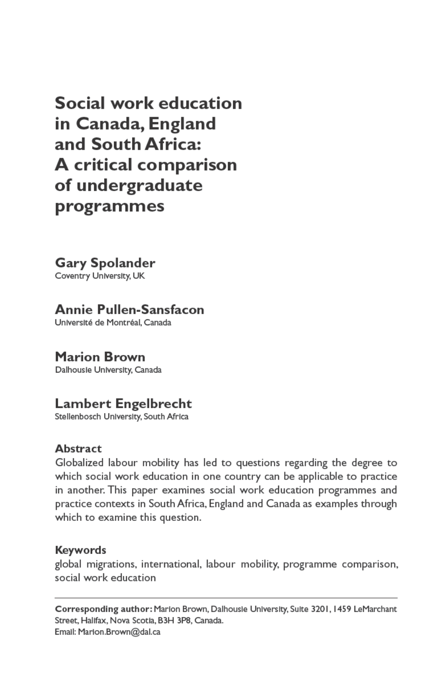Social work education in Canada, England and South Africa: A critical comparison of undergraduate programmes

**Gary Spolander** Coventry University, UK

# Annie Pullen-Sansfacon

Université de Montréal, Canada

## **Marion Brown**

Dalhousie University, Canada

# **Lambert Engelbrecht**

Stellenbosch University, South Africa

### **Abstract**

Globalized labour mobility has led to questions regarding the degree to which social work education in one country can be applicable to practice in another. This paper examines social work education programmes and practice contexts in South Africa, England and Canada as examples through which to examine this question.

#### **Keywords**

global migrations, international, labour mobility, programme comparison, social work education

Corresponding author: Marion Brown, Dalhousle University, Suite 3201, 1459 LeMarchant Street, Halifax, Nova Scotia, B3H 3P8, Canada. Email: Marion.Brown@dal.ca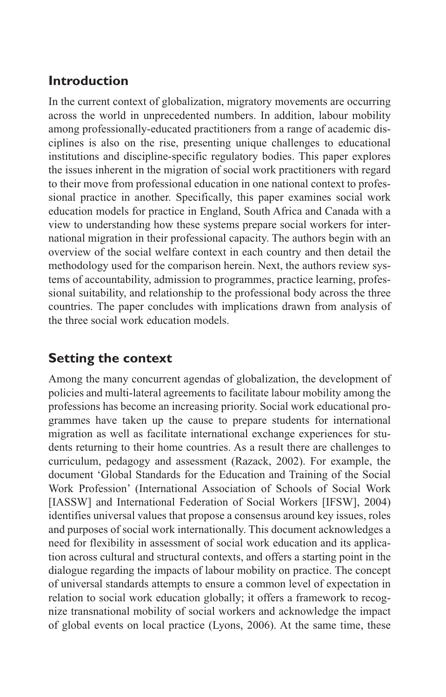## **Introduction**

In the current context of globalization, migratory movements are occurring across the world in unprecedented numbers. In addition, labour mobility among professionally-educated practitioners from a range of academic disciplines is also on the rise, presenting unique challenges to educational institutions and discipline-specific regulatory bodies. This paper explores the issues inherent in the migration of social work practitioners with regard to their move from professional education in one national context to professional practice in another. Specifically, this paper examines social work education models for practice in England, South Africa and Canada with a view to understanding how these systems prepare social workers for international migration in their professional capacity. The authors begin with an overview of the social welfare context in each country and then detail the methodology used for the comparison herein. Next, the authors review systems of accountability, admission to programmes, practice learning, professional suitability, and relationship to the professional body across the three countries. The paper concludes with implications drawn from analysis of the three social work education models.

# **Setting the context**

Among the many concurrent agendas of globalization, the development of policies and multi-lateral agreements to facilitate labour mobility among the professions has become an increasing priority. Social work educational programmes have taken up the cause to prepare students for international migration as well as facilitate international exchange experiences for students returning to their home countries. As a result there are challenges to curriculum, pedagogy and assessment (Razack, 2002). For example, the document 'Global Standards for the Education and Training of the Social Work Profession' (International Association of Schools of Social Work [IASSW] and International Federation of Social Workers [IFSW], 2004) identifies universal values that propose a consensus around key issues, roles and purposes of social work internationally. This document acknowledges a need for flexibility in assessment of social work education and its application across cultural and structural contexts, and offers a starting point in the dialogue regarding the impacts of labour mobility on practice. The concept of universal standards attempts to ensure a common level of expectation in relation to social work education globally; it offers a framework to recognize transnational mobility of social workers and acknowledge the impact of global events on local practice (Lyons, 2006). At the same time, these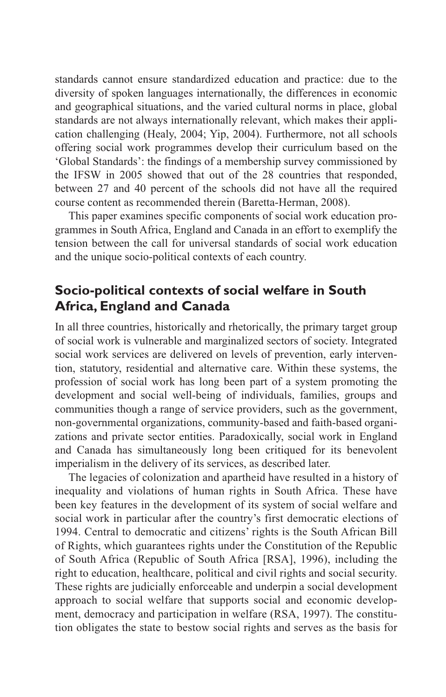standards cannot ensure standardized education and practice: due to the diversity of spoken languages internationally, the differences in economic and geographical situations, and the varied cultural norms in place, global standards are not always internationally relevant, which makes their application challenging (Healy, 2004; Yip, 2004). Furthermore, not all schools offering social work programmes develop their curriculum based on the 'Global Standards': the findings of a membership survey commissioned by the IFSW in 2005 showed that out of the 28 countries that responded, between 27 and 40 percent of the schools did not have all the required course content as recommended therein (Baretta-Herman, 2008).

This paper examines specific components of social work education programmes in South Africa, England and Canada in an effort to exemplify the tension between the call for universal standards of social work education and the unique socio-political contexts of each country.

## **Socio-political contexts of social welfare in South Africa, England and Canada**

In all three countries, historically and rhetorically, the primary target group of social work is vulnerable and marginalized sectors of society. Integrated social work services are delivered on levels of prevention, early intervention, statutory, residential and alternative care. Within these systems, the profession of social work has long been part of a system promoting the development and social well-being of individuals, families, groups and communities though a range of service providers, such as the government, non-governmental organizations, community-based and faith-based organizations and private sector entities. Paradoxically, social work in England and Canada has simultaneously long been critiqued for its benevolent imperialism in the delivery of its services, as described later.

The legacies of colonization and apartheid have resulted in a history of inequality and violations of human rights in South Africa. These have been key features in the development of its system of social welfare and social work in particular after the country's first democratic elections of 1994. Central to democratic and citizens' rights is the South African Bill of Rights, which guarantees rights under the Constitution of the Republic of South Africa (Republic of South Africa [RSA], 1996), including the right to education, healthcare, political and civil rights and social security. These rights are judicially enforceable and underpin a social development approach to social welfare that supports social and economic development, democracy and participation in welfare (RSA, 1997). The constitution obligates the state to bestow social rights and serves as the basis for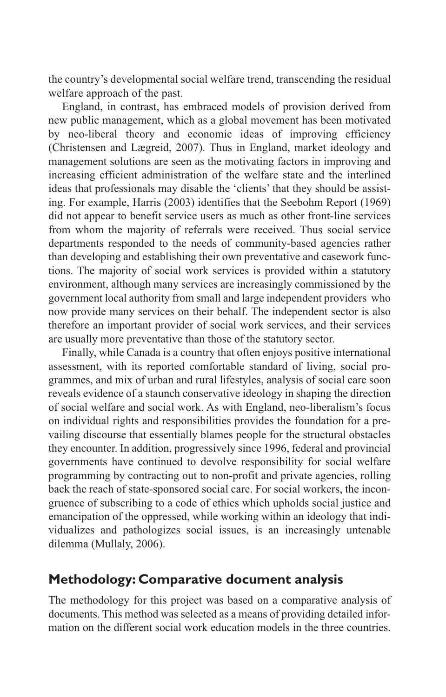the country's developmental social welfare trend, transcending the residual welfare approach of the past.

England, in contrast, has embraced models of provision derived from new public management, which as a global movement has been motivated by neo-liberal theory and economic ideas of improving efficiency (Christensen and Lægreid, 2007). Thus in England, market ideology and management solutions are seen as the motivating factors in improving and increasing efficient administration of the welfare state and the interlined ideas that professionals may disable the 'clients' that they should be assisting. For example, Harris (2003) identifies that the Seebohm Report (1969) did not appear to benefit service users as much as other front-line services from whom the majority of referrals were received. Thus social service departments responded to the needs of community-based agencies rather than developing and establishing their own preventative and casework functions. The majority of social work services is provided within a statutory environment, although many services are increasingly commissioned by the government local authority from small and large independent providers who now provide many services on their behalf. The independent sector is also therefore an important provider of social work services, and their services are usually more preventative than those of the statutory sector.

Finally, while Canada is a country that often enjoys positive international assessment, with its reported comfortable standard of living, social programmes, and mix of urban and rural lifestyles, analysis of social care soon reveals evidence of a staunch conservative ideology in shaping the direction of social welfare and social work. As with England, neo-liberalism's focus on individual rights and responsibilities provides the foundation for a prevailing discourse that essentially blames people for the structural obstacles they encounter. In addition, progressively since 1996, federal and provincial governments have continued to devolve responsibility for social welfare programming by contracting out to non-profit and private agencies, rolling back the reach of state-sponsored social care. For social workers, the incongruence of subscribing to a code of ethics which upholds social justice and emancipation of the oppressed, while working within an ideology that individualizes and pathologizes social issues, is an increasingly untenable dilemma (Mullaly, 2006).

### **Methodology: Comparative document analysis**

The methodology for this project was based on a comparative analysis of documents. This method was selected as a means of providing detailed information on the different social work education models in the three countries.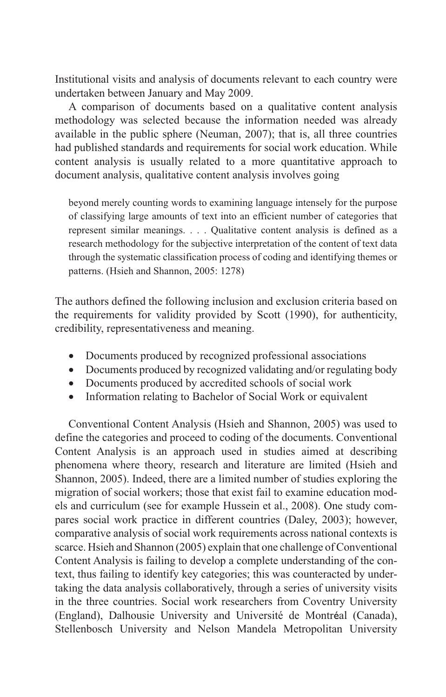Institutional visits and analysis of documents relevant to each country were undertaken between January and May 2009.

A comparison of documents based on a qualitative content analysis methodology was selected because the information needed was already available in the public sphere (Neuman, 2007); that is, all three countries had published standards and requirements for social work education. While content analysis is usually related to a more quantitative approach to document analysis, qualitative content analysis involves going

beyond merely counting words to examining language intensely for the purpose of classifying large amounts of text into an efficient number of categories that represent similar meanings. . . . Qualitative content analysis is defined as a research methodology for the subjective interpretation of the content of text data through the systematic classification process of coding and identifying themes or patterns. (Hsieh and Shannon, 2005: 1278)

The authors defined the following inclusion and exclusion criteria based on the requirements for validity provided by Scott (1990), for authenticity, credibility, representativeness and meaning.

- Documents produced by recognized professional associations
- Documents produced by recognized validating and/or regulating body
- Documents produced by accredited schools of social work
- Information relating to Bachelor of Social Work or equivalent

Conventional Content Analysis (Hsieh and Shannon, 2005) was used to define the categories and proceed to coding of the documents. Conventional Content Analysis is an approach used in studies aimed at describing phenomena where theory, research and literature are limited (Hsieh and Shannon, 2005). Indeed, there are a limited number of studies exploring the migration of social workers; those that exist fail to examine education models and curriculum (see for example Hussein et al., 2008). One study compares social work practice in different countries (Daley, 2003); however, comparative analysis of social work requirements across national contexts is scarce. Hsieh and Shannon (2005) explain that one challenge of Conventional Content Analysis is failing to develop a complete understanding of the context, thus failing to identify key categories; this was counteracted by undertaking the data analysis collaboratively, through a series of university visits in the three countries. Social work researchers from Coventry University (England), Dalhousie University and Université de Montréal (Canada), Stellenbosch University and Nelson Mandela Metropolitan University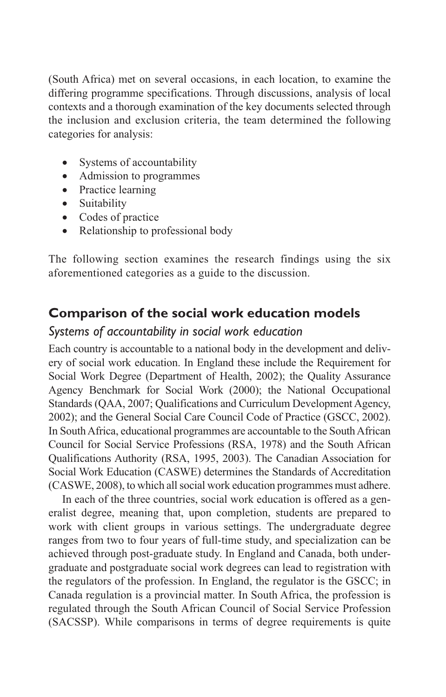(South Africa) met on several occasions, in each location, to examine the differing programme specifications. Through discussions, analysis of local contexts and a thorough examination of the key documents selected through the inclusion and exclusion criteria, the team determined the following categories for analysis:

- Systems of accountability
- Admission to programmes
- Practice learning
- Suitability
- Codes of practice
- Relationship to professional body

The following section examines the research findings using the six aforementioned categories as a guide to the discussion.

# **Comparison of the social work education models**

### *Systems of accountability in social work education*

Each country is accountable to a national body in the development and delivery of social work education. In England these include the Requirement for Social Work Degree (Department of Health, 2002); the Quality Assurance Agency Benchmark for Social Work (2000); the National Occupational Standards (QAA, 2007; Qualifications and Curriculum Development Agency, 2002); and the General Social Care Council Code of Practice (GSCC, 2002). In South Africa, educational programmes are accountable to the South African Council for Social Service Professions (RSA, 1978) and the South African Qualifications Authority (RSA, 1995, 2003). The Canadian Association for Social Work Education (CASWE) determines the Standards of Accreditation (CASWE, 2008), to which all social work education programmes must adhere.

In each of the three countries, social work education is offered as a generalist degree, meaning that, upon completion, students are prepared to work with client groups in various settings. The undergraduate degree ranges from two to four years of full-time study, and specialization can be achieved through post-graduate study. In England and Canada, both undergraduate and postgraduate social work degrees can lead to registration with the regulators of the profession. In England, the regulator is the GSCC; in Canada regulation is a provincial matter. In South Africa, the profession is regulated through the South African Council of Social Service Profession (SACSSP). While comparisons in terms of degree requirements is quite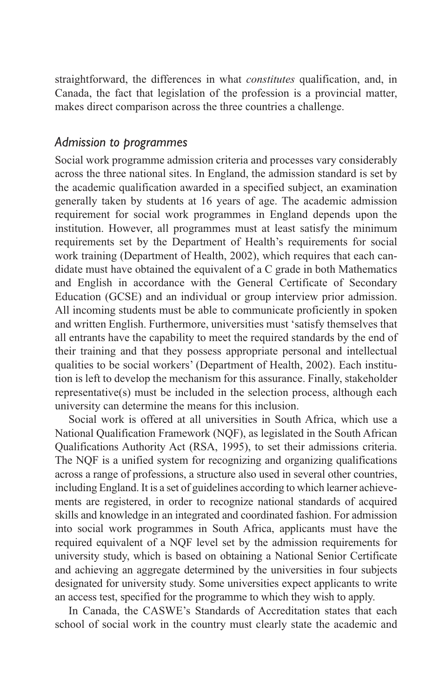straightforward, the differences in what *constitutes* qualification, and, in Canada, the fact that legislation of the profession is a provincial matter, makes direct comparison across the three countries a challenge.

#### *Admission to programmes*

Social work programme admission criteria and processes vary considerably across the three national sites. In England, the admission standard is set by the academic qualification awarded in a specified subject, an examination generally taken by students at 16 years of age. The academic admission requirement for social work programmes in England depends upon the institution. However, all programmes must at least satisfy the minimum requirements set by the Department of Health's requirements for social work training (Department of Health, 2002), which requires that each candidate must have obtained the equivalent of a C grade in both Mathematics and English in accordance with the General Certificate of Secondary Education (GCSE) and an individual or group interview prior admission. All incoming students must be able to communicate proficiently in spoken and written English. Furthermore, universities must 'satisfy themselves that all entrants have the capability to meet the required standards by the end of their training and that they possess appropriate personal and intellectual qualities to be social workers' (Department of Health, 2002). Each institution is left to develop the mechanism for this assurance. Finally, stakeholder representative(s) must be included in the selection process, although each university can determine the means for this inclusion.

Social work is offered at all universities in South Africa, which use a National Qualification Framework (NQF), as legislated in the South African Qualifications Authority Act (RSA, 1995), to set their admissions criteria. The NQF is a unified system for recognizing and organizing qualifications across a range of professions, a structure also used in several other countries, including England. It is a set of guidelines according to which learner achievements are registered, in order to recognize national standards of acquired skills and knowledge in an integrated and coordinated fashion. For admission into social work programmes in South Africa, applicants must have the required equivalent of a NQF level set by the admission requirements for university study, which is based on obtaining a National Senior Certificate and achieving an aggregate determined by the universities in four subjects designated for university study. Some universities expect applicants to write an access test, specified for the programme to which they wish to apply.

In Canada, the CASWE's Standards of Accreditation states that each school of social work in the country must clearly state the academic and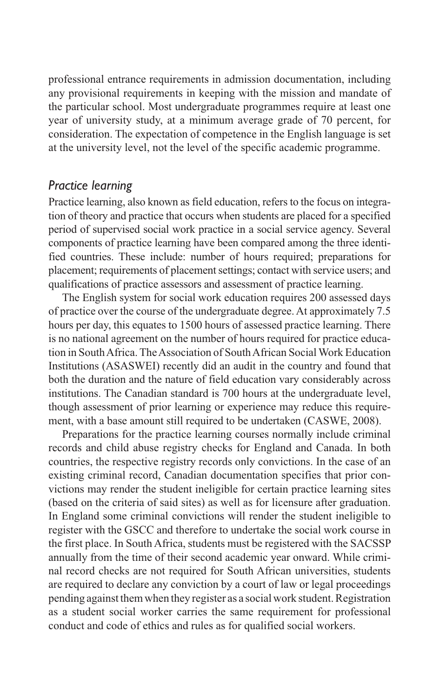professional entrance requirements in admission documentation, including any provisional requirements in keeping with the mission and mandate of the particular school. Most undergraduate programmes require at least one year of university study, at a minimum average grade of 70 percent, for consideration. The expectation of competence in the English language is set at the university level, not the level of the specific academic programme.

#### *Practice learning*

Practice learning, also known as field education, refers to the focus on integration of theory and practice that occurs when students are placed for a specified period of supervised social work practice in a social service agency. Several components of practice learning have been compared among the three identified countries. These include: number of hours required; preparations for placement; requirements of placement settings; contact with service users; and qualifications of practice assessors and assessment of practice learning.

The English system for social work education requires 200 assessed days of practice over the course of the undergraduate degree. At approximately 7.5 hours per day, this equates to 1500 hours of assessed practice learning. There is no national agreement on the number of hours required for practice education in South Africa. The Association of South African Social Work Education Institutions (ASASWEI) recently did an audit in the country and found that both the duration and the nature of field education vary considerably across institutions. The Canadian standard is 700 hours at the undergraduate level, though assessment of prior learning or experience may reduce this requirement, with a base amount still required to be undertaken (CASWE, 2008).

Preparations for the practice learning courses normally include criminal records and child abuse registry checks for England and Canada. In both countries, the respective registry records only convictions. In the case of an existing criminal record, Canadian documentation specifies that prior convictions may render the student ineligible for certain practice learning sites (based on the criteria of said sites) as well as for licensure after graduation. In England some criminal convictions will render the student ineligible to register with the GSCC and therefore to undertake the social work course in the first place. In South Africa, students must be registered with the SACSSP annually from the time of their second academic year onward. While criminal record checks are not required for South African universities, students are required to declare any conviction by a court of law or legal proceedings pending against them when they register as a social work student. Registration as a student social worker carries the same requirement for professional conduct and code of ethics and rules as for qualified social workers.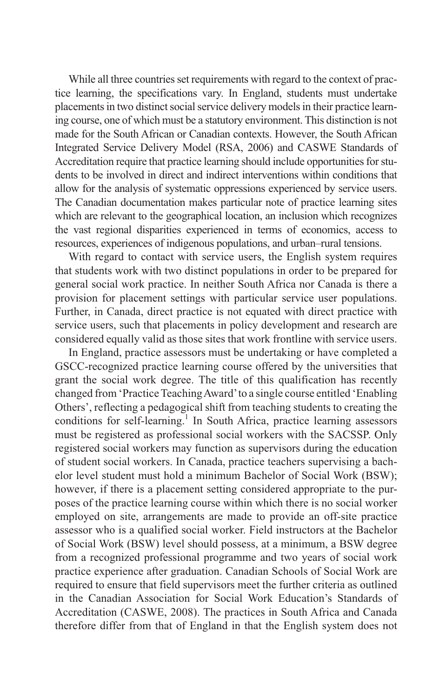While all three countries set requirements with regard to the context of practice learning, the specifications vary. In England, students must undertake placements in two distinct social service delivery models in their practice learning course, one of which must be a statutory environment. This distinction is not made for the South African or Canadian contexts. However, the South African Integrated Service Delivery Model (RSA, 2006) and CASWE Standards of Accreditation require that practice learning should include opportunities for students to be involved in direct and indirect interventions within conditions that allow for the analysis of systematic oppressions experienced by service users. The Canadian documentation makes particular note of practice learning sites which are relevant to the geographical location, an inclusion which recognizes the vast regional disparities experienced in terms of economics, access to resources, experiences of indigenous populations, and urban–rural tensions.

With regard to contact with service users, the English system requires that students work with two distinct populations in order to be prepared for general social work practice. In neither South Africa nor Canada is there a provision for placement settings with particular service user populations. Further, in Canada, direct practice is not equated with direct practice with service users, such that placements in policy development and research are considered equally valid as those sites that work frontline with service users.

In England, practice assessors must be undertaking or have completed a GSCC-recognized practice learning course offered by the universities that grant the social work degree. The title of this qualification has recently changed from 'Practice Teaching Award' to a single course entitled 'Enabling Others', reflecting a pedagogical shift from teaching students to creating the conditions for self-learning.<sup>1</sup> In South Africa, practice learning assessors must be registered as professional social workers with the SACSSP. Only registered social workers may function as supervisors during the education of student social workers. In Canada, practice teachers supervising a bachelor level student must hold a minimum Bachelor of Social Work (BSW); however, if there is a placement setting considered appropriate to the purposes of the practice learning course within which there is no social worker employed on site, arrangements are made to provide an off-site practice assessor who is a qualified social worker. Field instructors at the Bachelor of Social Work (BSW) level should possess, at a minimum, a BSW degree from a recognized professional programme and two years of social work practice experience after graduation. Canadian Schools of Social Work are required to ensure that field supervisors meet the further criteria as outlined in the Canadian Association for Social Work Education's Standards of Accreditation (CASWE, 2008). The practices in South Africa and Canada therefore differ from that of England in that the English system does not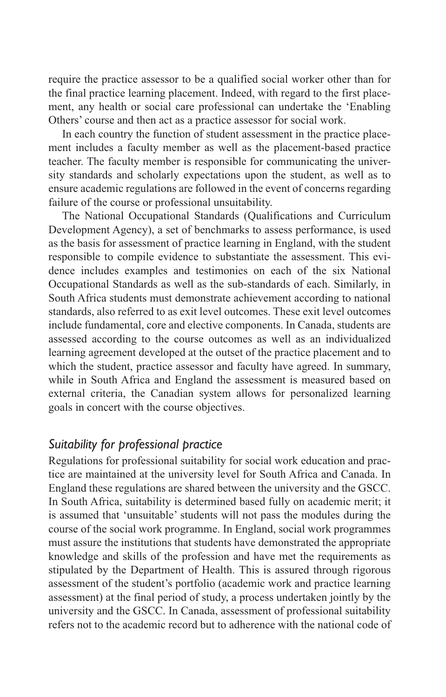require the practice assessor to be a qualified social worker other than for the final practice learning placement. Indeed, with regard to the first placement, any health or social care professional can undertake the 'Enabling Others' course and then act as a practice assessor for social work.

In each country the function of student assessment in the practice placement includes a faculty member as well as the placement-based practice teacher. The faculty member is responsible for communicating the university standards and scholarly expectations upon the student, as well as to ensure academic regulations are followed in the event of concerns regarding failure of the course or professional unsuitability.

The National Occupational Standards (Qualifications and Curriculum Development Agency), a set of benchmarks to assess performance, is used as the basis for assessment of practice learning in England, with the student responsible to compile evidence to substantiate the assessment. This evidence includes examples and testimonies on each of the six National Occupational Standards as well as the sub-standards of each. Similarly, in South Africa students must demonstrate achievement according to national standards, also referred to as exit level outcomes. These exit level outcomes include fundamental, core and elective components. In Canada, students are assessed according to the course outcomes as well as an individualized learning agreement developed at the outset of the practice placement and to which the student, practice assessor and faculty have agreed. In summary, while in South Africa and England the assessment is measured based on external criteria, the Canadian system allows for personalized learning goals in concert with the course objectives.

### *Suitability for professional practice*

Regulations for professional suitability for social work education and practice are maintained at the university level for South Africa and Canada. In England these regulations are shared between the university and the GSCC. In South Africa, suitability is determined based fully on academic merit; it is assumed that 'unsuitable' students will not pass the modules during the course of the social work programme. In England, social work programmes must assure the institutions that students have demonstrated the appropriate knowledge and skills of the profession and have met the requirements as stipulated by the Department of Health. This is assured through rigorous assessment of the student's portfolio (academic work and practice learning assessment) at the final period of study, a process undertaken jointly by the university and the GSCC. In Canada, assessment of professional suitability refers not to the academic record but to adherence with the national code of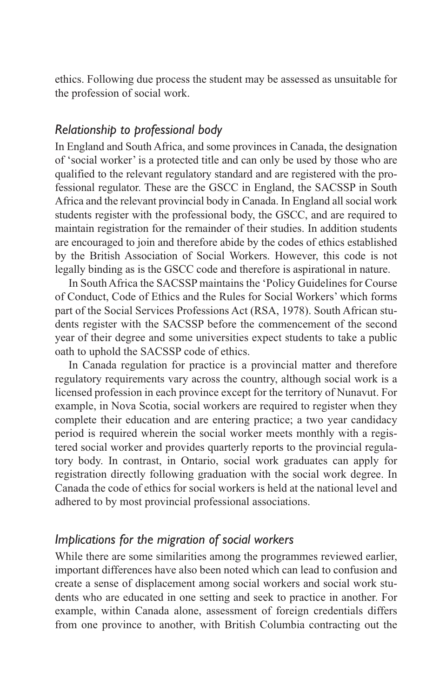ethics. Following due process the student may be assessed as unsuitable for the profession of social work.

### *Relationship to professional body*

In England and South Africa, and some provinces in Canada, the designation of 'social worker' is a protected title and can only be used by those who are qualified to the relevant regulatory standard and are registered with the professional regulator. These are the GSCC in England, the SACSSP in South Africa and the relevant provincial body in Canada. In England all social work students register with the professional body, the GSCC, and are required to maintain registration for the remainder of their studies. In addition students are encouraged to join and therefore abide by the codes of ethics established by the British Association of Social Workers. However, this code is not legally binding as is the GSCC code and therefore is aspirational in nature.

In South Africa the SACSSP maintains the 'Policy Guidelines for Course of Conduct, Code of Ethics and the Rules for Social Workers' which forms part of the Social Services Professions Act (RSA, 1978). South African students register with the SACSSP before the commencement of the second year of their degree and some universities expect students to take a public oath to uphold the SACSSP code of ethics.

In Canada regulation for practice is a provincial matter and therefore regulatory requirements vary across the country, although social work is a licensed profession in each province except for the territory of Nunavut. For example, in Nova Scotia, social workers are required to register when they complete their education and are entering practice; a two year candidacy period is required wherein the social worker meets monthly with a registered social worker and provides quarterly reports to the provincial regulatory body. In contrast, in Ontario, social work graduates can apply for registration directly following graduation with the social work degree. In Canada the code of ethics for social workers is held at the national level and adhered to by most provincial professional associations.

### *Implications for the migration of social workers*

While there are some similarities among the programmes reviewed earlier, important differences have also been noted which can lead to confusion and create a sense of displacement among social workers and social work students who are educated in one setting and seek to practice in another. For example, within Canada alone, assessment of foreign credentials differs from one province to another, with British Columbia contracting out the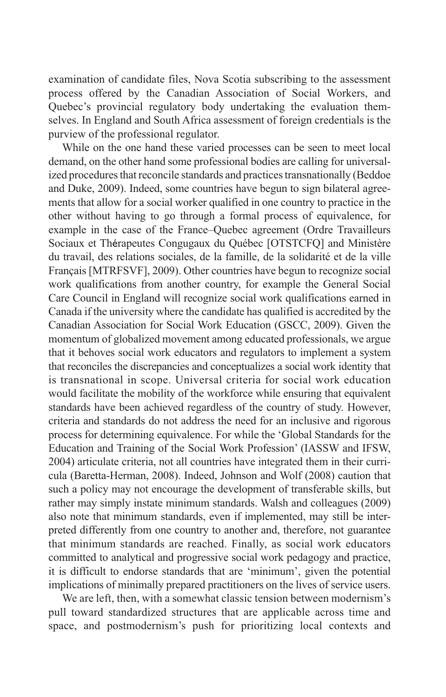examination of candidate files, Nova Scotia subscribing to the assessment process offered by the Canadian Association of Social Workers, and Quebec's provincial regulatory body undertaking the evaluation themselves. In England and South Africa assessment of foreign credentials is the purview of the professional regulator.

While on the one hand these varied processes can be seen to meet local demand, on the other hand some professional bodies are calling for universalized procedures that reconcile standards and practices transnationally (Beddoe and Duke, 2009). Indeed, some countries have begun to sign bilateral agreements that allow for a social worker qualified in one country to practice in the other without having to go through a formal process of equivalence, for example in the case of the France–Quebec agreement (Ordre Travailleurs Sociaux et Thérapeutes Congugaux du Québec [OTSTCFQ] and Ministère du travail, des relations sociales, de la famille, de la solidarité et de la ville Français [MTRFSVF], 2009). Other countries have begun to recognize social work qualifications from another country, for example the General Social Care Council in England will recognize social work qualifications earned in Canada if the university where the candidate has qualified is accredited by the Canadian Association for Social Work Education (GSCC, 2009). Given the momentum of globalized movement among educated professionals, we argue that it behoves social work educators and regulators to implement a system that reconciles the discrepancies and conceptualizes a social work identity that is transnational in scope. Universal criteria for social work education would facilitate the mobility of the workforce while ensuring that equivalent standards have been achieved regardless of the country of study. However, criteria and standards do not address the need for an inclusive and rigorous process for determining equivalence. For while the 'Global Standards for the Education and Training of the Social Work Profession' (IASSW and IFSW, 2004) articulate criteria, not all countries have integrated them in their curricula (Baretta-Herman, 2008). Indeed, Johnson and Wolf (2008) caution that such a policy may not encourage the development of transferable skills, but rather may simply instate minimum standards. Walsh and colleagues (2009) also note that minimum standards, even if implemented, may still be interpreted differently from one country to another and, therefore, not guarantee that minimum standards are reached. Finally, as social work educators committed to analytical and progressive social work pedagogy and practice, it is difficult to endorse standards that are 'minimum', given the potential implications of minimally prepared practitioners on the lives of service users.

We are left, then, with a somewhat classic tension between modernism's pull toward standardized structures that are applicable across time and space, and postmodernism's push for prioritizing local contexts and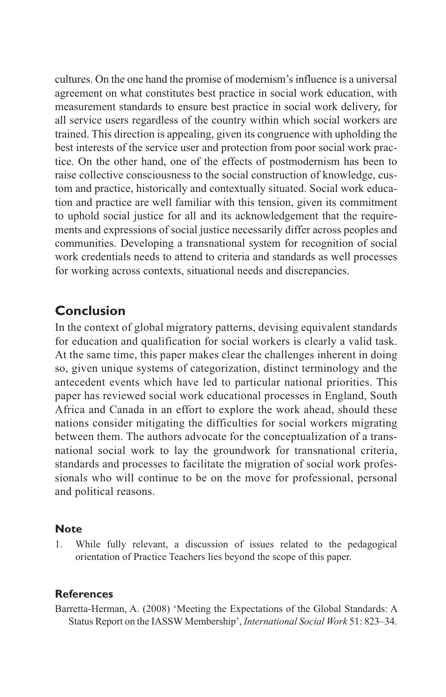cultures. On the one hand the promise of modernism's influence is a universal agreement on what constitutes best practice in social work education, with measurement standards to ensure best practice in social work delivery, for all service users regardless of the country within which social workers are trained. This direction is appealing, given its congruence with upholding the best interests of the service user and protection from poor social work practice. On the other hand, one of the effects of postmodernism has been to raise collective consciousness to the social construction of knowledge, custom and practice, historically and contextually situated. Social work education and practice are well familiar with this tension, given its commitment to uphold social justice for all and its acknowledgement that the requirements and expressions of social justice necessarily differ across peoples and communities. Developing a transnational system for recognition of social work credentials needs to attend to criteria and standards as well processes for working across contexts, situational needs and discrepancies.

# **Conclusion**

In the context of global migratory patterns, devising equivalent standards for education and qualification for social workers is clearly a valid task. At the same time, this paper makes clear the challenges inherent in doing so, given unique systems of categorization, distinct terminology and the antecedent events which have led to particular national priorities. This paper has reviewed social work educational processes in England, South Africa and Canada in an effort to explore the work ahead, should these nations consider mitigating the difficulties for social workers migrating between them. The authors advocate for the conceptualization of a transnational social work to lay the groundwork for transnational criteria, standards and processes to facilitate the migration of social work professionals who will continue to be on the move for professional, personal and political reasons.

#### **Note**

1. While fully relevant, a discussion of issues related to the pedagogical orientation of Practice Teachers lies beyond the scope of this paper.

#### **References**

Barretta-Herman, A. (2008) 'Meeting the Expectations of the Global Standards: A Status Report on the IASSW Membership', *International Social Work* 51: 823–34.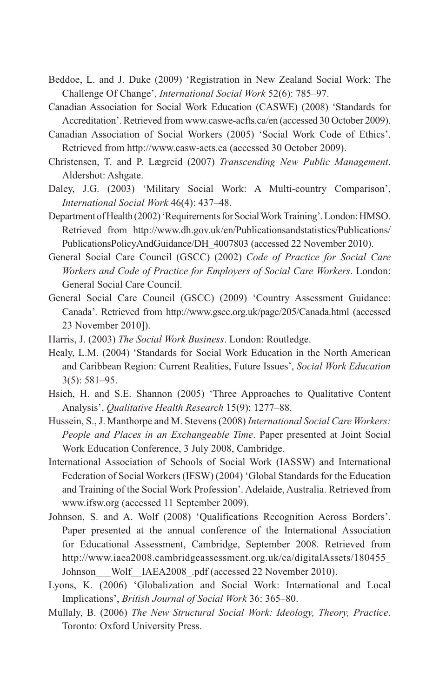- Beddoe, L. and J. Duke (2009) 'Registration in New Zealand Social Work: The Challenge Of Change', *International Social Work* 52(6): 785–97.
- Canadian Association for Social Work Education (CASWE) (2008) 'Standards for Accreditation'. Retrieved from www.caswe-acfts.ca/en (accessed 30 October 2009).
- Canadian Association of Social Workers (2005) 'Social Work Code of Ethics'. Retrieved from http://www.casw-acts.ca (accessed 30 October 2009).
- Christensen, T. and P. Lægreid (2007) *Transcending New Public Management*. Aldershot: Ashgate.
- Daley, J.G. (2003) 'Military Social Work: A Multi-country Comparison', *International Social Work* 46(4): 437–48.
- Department of Health (2002) 'Requirements for Social Work Training'. London: HMSO. Retrieved from http://www.dh.gov.uk/en/Publicationsandstatistics/Publications/ PublicationsPolicyAndGuidance/DH\_4007803 (accessed 22 November 2010).
- General Social Care Council (GSCC) (2002) *Code of Practice for Social Care Workers and Code of Practice for Employers of Social Care Workers*. London: General Social Care Council.
- General Social Care Council (GSCC) (2009) 'Country Assessment Guidance: Canada'. Retrieved from http://www.gscc.org.uk/page/205/Canada.html (accessed 23 November 2010]).
- Harris, J. (2003) *The Social Work Business*. London: Routledge.
- Healy, L.M. (2004) 'Standards for Social Work Education in the North American and Caribbean Region: Current Realities, Future Issues', *Social Work Education* 3(5): 581–95.
- Hsieh, H. and S.E. Shannon (2005) 'Three Approaches to Qualitative Content Analysis', *Qualitative Health Research* 15(9): 1277–88.
- Hussein, S., J. Manthorpe and M. Stevens (2008) *International Social Care Workers: People and Places in an Exchangeable Time*. Paper presented at Joint Social Work Education Conference, 3 July 2008, Cambridge.
- International Association of Schools of Social Work (IASSW) and International Federation of Social Workers (IFSW) (2004) 'Global Standards for the Education and Training of the Social Work Profession'. Adelaide, Australia. Retrieved from www.ifsw.org (accessed 11 September 2009).
- Johnson, S. and A. Wolf (2008) 'Qualifications Recognition Across Borders'. Paper presented at the annual conference of the International Association for Educational Assessment, Cambridge, September 2008. Retrieved from http://www.iaea2008.cambridgeassessment.org.uk/ca/digitalAssets/180455\_ Johnson Wolf IAEA2008.pdf (accessed 22 November 2010).
- Lyons, K. (2006) 'Globalization and Social Work: International and Local Implications', *British Journal of Social Work* 36: 365–80.
- Mullaly, B. (2006) *The New Structural Social Work: Ideology, Theory, Practice*. Toronto: Oxford University Press.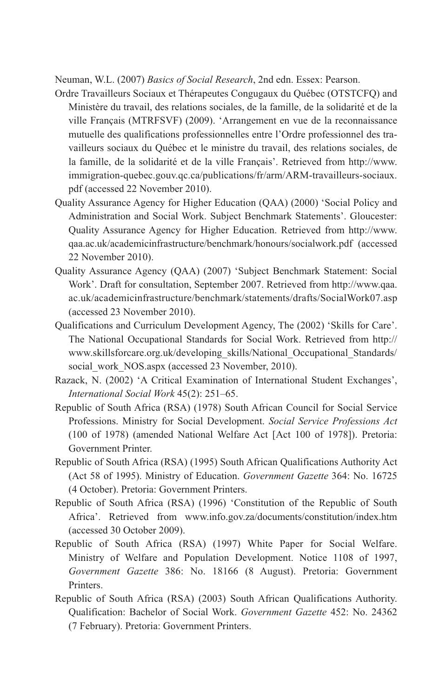Neuman, W.L. (2007) *Basics of Social Research*, 2nd edn. Essex: Pearson.

- Ordre Travailleurs Sociaux et Thérapeutes Congugaux du Québec (OTSTCFQ) and Ministère du travail, des relations sociales, de la famille, de la solidarité et de la ville Français (MTRFSVF) (2009). 'Arrangement en vue de la reconnaissance mutuelle des qualifications professionnelles entre l'Ordre professionnel des travailleurs sociaux du Québec et le ministre du travail, des relations sociales, de la famille, de la solidarité et de la ville Français'. Retrieved from http://www. immigration-quebec.gouv.qc.ca/publications/fr/arm/ARM-travailleurs-sociaux. pdf (accessed 22 November 2010).
- Quality Assurance Agency for Higher Education (QAA) (2000) 'Social Policy and Administration and Social Work. Subject Benchmark Statements'. Gloucester: Quality Assurance Agency for Higher Education. Retrieved from http://www. qaa.ac.uk/academicinfrastructure/benchmark/honours/socialwork.pdf (accessed 22 November 2010).
- Quality Assurance Agency (QAA) (2007) 'Subject Benchmark Statement: Social Work'. Draft for consultation, September 2007. Retrieved from http://www.qaa. ac.uk/academicinfrastructure/benchmark/statements/drafts/SocialWork07.asp (accessed 23 November 2010).
- Qualifications and Curriculum Development Agency, The (2002) 'Skills for Care'. The National Occupational Standards for Social Work. Retrieved from http:// www.skillsforcare.org.uk/developing\_skills/National\_Occupational\_Standards/ social\_work\_NOS.aspx (accessed 23 November, 2010).
- Razack, N. (2002) 'A Critical Examination of International Student Exchanges', *International Social Work* 45(2): 251–65.
- Republic of South Africa (RSA) (1978) South African Council for Social Service Professions. Ministry for Social Development. *Social Service Professions Act* (100 of 1978) (amended National Welfare Act [Act 100 of 1978]). Pretoria: Government Printer.
- Republic of South Africa (RSA) (1995) South African Qualifications Authority Act (Act 58 of 1995). Ministry of Education. *Government Gazette* 364: No. 16725 (4 October). Pretoria: Government Printers.
- Republic of South Africa (RSA) (1996) 'Constitution of the Republic of South Africa'. Retrieved from www.info.gov.za/documents/constitution/index.htm (accessed 30 October 2009).
- Republic of South Africa (RSA) (1997) White Paper for Social Welfare. Ministry of Welfare and Population Development. Notice 1108 of 1997, *Government Gazette* 386: No. 18166 (8 August). Pretoria: Government Printers.
- Republic of South Africa (RSA) (2003) South African Qualifications Authority. Qualification: Bachelor of Social Work. *Government Gazette* 452: No. 24362 (7 February). Pretoria: Government Printers.